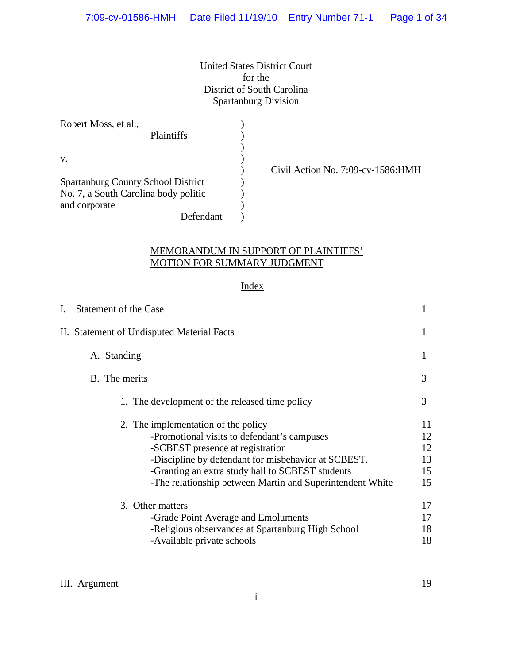United States District Court for the District of South Carolina Spartanburg Division

| Robert Moss, et al.,                      |  |
|-------------------------------------------|--|
| <b>Plaintiffs</b>                         |  |
|                                           |  |
| V.                                        |  |
|                                           |  |
| <b>Spartanburg County School District</b> |  |
| No. 7, a South Carolina body politic      |  |
| and corporate                             |  |
| Defendant                                 |  |

\_\_\_\_\_\_\_\_\_\_\_\_\_\_\_\_\_\_\_\_\_\_\_\_\_\_\_\_\_\_\_\_\_\_\_\_

) Civil Action No. 7:09-cv-1586:HMH

## MEMORANDUM IN SUPPORT OF PLAINTIFFS' MOTION FOR SUMMARY JUDGMENT

## **Index**

| I. | Statement of the Case                                                                                                                                                                                                                                                                          |                                  |
|----|------------------------------------------------------------------------------------------------------------------------------------------------------------------------------------------------------------------------------------------------------------------------------------------------|----------------------------------|
|    | II. Statement of Undisputed Material Facts                                                                                                                                                                                                                                                     | 1                                |
|    | A. Standing                                                                                                                                                                                                                                                                                    |                                  |
|    | B. The merits                                                                                                                                                                                                                                                                                  | 3                                |
|    | 1. The development of the released time policy                                                                                                                                                                                                                                                 | 3                                |
|    | 2. The implementation of the policy<br>-Promotional visits to defendant's campuses<br>-SCBEST presence at registration<br>-Discipline by defendant for misbehavior at SCBEST.<br>-Granting an extra study hall to SCBEST students<br>-The relationship between Martin and Superintendent White | 11<br>12<br>12<br>13<br>15<br>15 |
|    | 3. Other matters<br>-Grade Point Average and Emoluments<br>-Religious observances at Spartanburg High School<br>-Available private schools                                                                                                                                                     | 17<br>17<br>18<br>18             |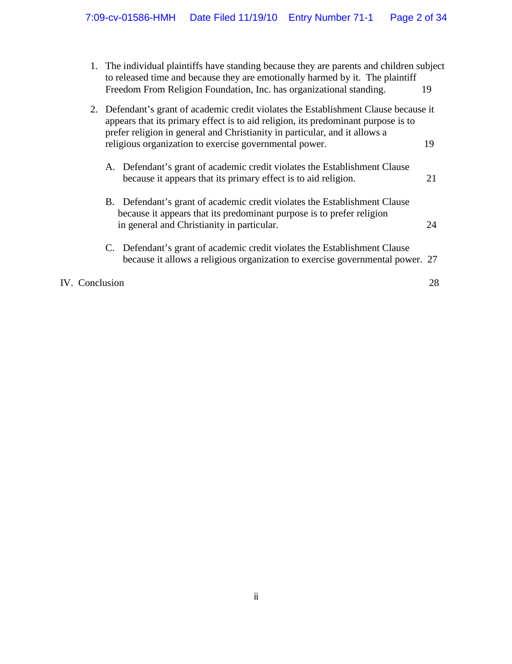| 1. | The individual plaintiffs have standing because they are parents and children subject<br>to released time and because they are emotionally harmed by it. The plaintiff<br>Freedom From Religion Foundation, Inc. has organizational standing.<br>19                                                                     |    |
|----|-------------------------------------------------------------------------------------------------------------------------------------------------------------------------------------------------------------------------------------------------------------------------------------------------------------------------|----|
|    | 2. Defendant's grant of academic credit violates the Establishment Clause because it<br>appears that its primary effect is to aid religion, its predominant purpose is to<br>prefer religion in general and Christianity in particular, and it allows a<br>religious organization to exercise governmental power.<br>19 |    |
|    | A. Defendant's grant of academic credit violates the Establishment Clause<br>because it appears that its primary effect is to aid religion.                                                                                                                                                                             | 21 |
|    | B. Defendant's grant of academic credit violates the Establishment Clause<br>because it appears that its predominant purpose is to prefer religion<br>in general and Christianity in particular.                                                                                                                        | 24 |
|    | C. Defendant's grant of academic credit violates the Establishment Clause<br>because it allows a religious organization to exercise governmental power. 27                                                                                                                                                              |    |
|    | <b>IV.</b> Conclusion                                                                                                                                                                                                                                                                                                   | 28 |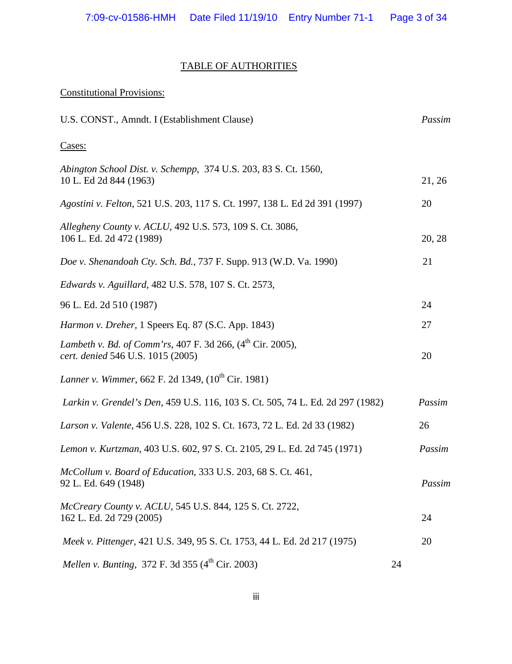## TABLE OF AUTHORITIES

| <b>Constitutional Provisions:</b>                                                                    |    |        |
|------------------------------------------------------------------------------------------------------|----|--------|
| U.S. CONST., Amndt. I (Establishment Clause)                                                         |    | Passim |
| Cases:                                                                                               |    |        |
| Abington School Dist. v. Schempp, 374 U.S. 203, 83 S. Ct. 1560,<br>10 L. Ed 2d 844 (1963)            |    | 21, 26 |
| Agostini v. Felton, 521 U.S. 203, 117 S. Ct. 1997, 138 L. Ed 2d 391 (1997)                           |    | 20     |
| Allegheny County v. ACLU, 492 U.S. 573, 109 S. Ct. 3086,<br>106 L. Ed. 2d 472 (1989)                 |    | 20, 28 |
| Doe v. Shenandoah Cty. Sch. Bd., 737 F. Supp. 913 (W.D. Va. 1990)                                    |    | 21     |
| Edwards v. Aguillard, 482 U.S. 578, 107 S. Ct. 2573,                                                 |    |        |
| 96 L. Ed. 2d 510 (1987)                                                                              |    | 24     |
| Harmon v. Dreher, 1 Speers Eq. 87 (S.C. App. 1843)                                                   |    | 27     |
| Lambeth v. Bd. of Comm'rs, 407 F. 3d 266, $(4^{th}$ Cir. 2005),<br>cert. denied 546 U.S. 1015 (2005) |    | 20     |
| Lanner v. Wimmer, 662 F. 2d 1349, (10 <sup>th</sup> Cir. 1981)                                       |    |        |
| Larkin v. Grendel's Den, 459 U.S. 116, 103 S. Ct. 505, 74 L. Ed. 2d 297 (1982)                       |    | Passim |
| Larson v. Valente, 456 U.S. 228, 102 S. Ct. 1673, 72 L. Ed. 2d 33 (1982)                             |    | 26     |
| Lemon v. Kurtzman, 403 U.S. 602, 97 S. Ct. 2105, 29 L. Ed. 2d 745 (1971)                             |    | Passim |
| McCollum v. Board of Education, 333 U.S. 203, 68 S. Ct. 461,<br>92 L. Ed. 649 (1948)                 |    | Passim |
| McCreary County v. ACLU, 545 U.S. 844, 125 S. Ct. 2722,<br>162 L. Ed. 2d 729 (2005)                  |    | 24     |
| Meek v. Pittenger, 421 U.S. 349, 95 S. Ct. 1753, 44 L. Ed. 2d 217 (1975)                             |    | 20     |
| Mellen v. Bunting, 372 F. 3d 355 $(4^{th}$ Cir. 2003)                                                | 24 |        |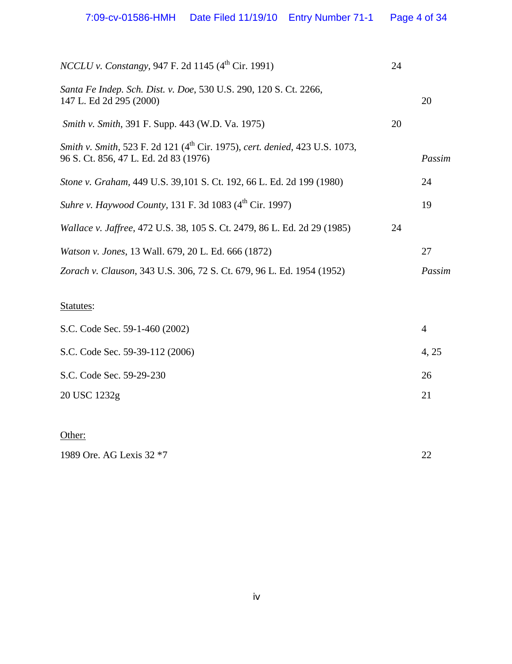| <i>NCCLU v. Constangy</i> , 947 F. 2d 1145 (4 <sup>th</sup> Cir. 1991)                                                           | 24 |        |
|----------------------------------------------------------------------------------------------------------------------------------|----|--------|
| Santa Fe Indep. Sch. Dist. v. Doe, 530 U.S. 290, 120 S. Ct. 2266,<br>147 L. Ed 2d 295 (2000)                                     |    | 20     |
| <i>Smith v. Smith, 391 F. Supp. 443 (W.D. Va. 1975)</i>                                                                          | 20 |        |
| Smith v. Smith, 523 F. 2d 121 (4 <sup>th</sup> Cir. 1975), cert. denied, 423 U.S. 1073,<br>96 S. Ct. 856, 47 L. Ed. 2d 83 (1976) |    | Passim |
| Stone v. Graham, 449 U.S. 39,101 S. Ct. 192, 66 L. Ed. 2d 199 (1980)                                                             |    | 24     |
| Suhre v. Haywood County, 131 F. 3d 1083 (4 <sup>th</sup> Cir. 1997)                                                              |    | 19     |
| Wallace v. Jaffree, 472 U.S. 38, 105 S. Ct. 2479, 86 L. Ed. 2d 29 (1985)                                                         | 24 |        |
| <i>Watson v. Jones, 13 Wall. 679, 20 L. Ed. 666 (1872)</i>                                                                       |    | 27     |
| Zorach v. Clauson, 343 U.S. 306, 72 S. Ct. 679, 96 L. Ed. 1954 (1952)                                                            |    | Passim |
|                                                                                                                                  |    |        |

# Statutes:

Other:

| S.C. Code Sec. 59-1-460 (2002)  |       |
|---------------------------------|-------|
| S.C. Code Sec. 59-39-112 (2006) | 4, 25 |
| S.C. Code Sec. 59-29-230        | 26    |
| 20 USC 1232g                    | 21    |
|                                 |       |

1989 Ore. AG Lexis 32 \*7 22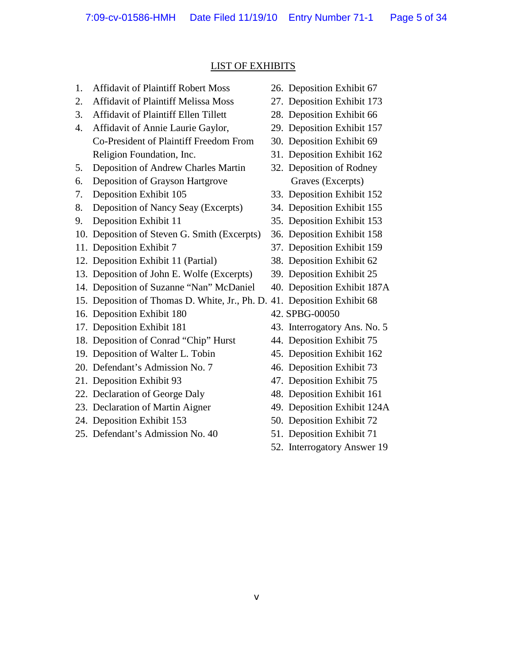## LIST OF EXHIBITS

- 1. Affidavit of Plaintiff Robert Moss 26. Deposition Exhibit 67
- 2. Affidavit of Plaintiff Melissa Moss 27. Deposition Exhibit 173
- 3. Affidavit of Plaintiff Ellen Tillett 28. Deposition Exhibit 66
- 4. Affidavit of Annie Laurie Gaylor, 29. Deposition Exhibit 157 Co-President of Plaintiff Freedom From 30. Deposition Exhibit 69 Religion Foundation, Inc. 31. Deposition Exhibit 162
- 5. Deposition of Andrew Charles Martin 32. Deposition of Rodney
- 6. Deposition of Grayson Hartgrove Graves (Excerpts)
- 
- 8. Deposition of Nancy Seay (Excerpts) 34. Deposition Exhibit 155
- 
- 10. Deposition of Steven G. Smith (Excerpts) 36. Deposition Exhibit 158
- 
- 12. Deposition Exhibit 11 (Partial) 38. Deposition Exhibit 62
- 13. Deposition of John E. Wolfe (Excerpts) 39. Deposition Exhibit 25
- 14. Deposition of Suzanne "Nan" McDaniel 40. Deposition Exhibit 187A
- 15. Deposition of Thomas D. White, Jr., Ph. D. 41. Deposition Exhibit 68
- 16. Deposition Exhibit 180 42. SPBG-00050
- 
- 18. Deposition of Conrad "Chip" Hurst 44. Deposition Exhibit 75
- 19. Deposition of Walter L. Tobin 45. Deposition Exhibit 162
- 20. Defendant's Admission No. 7 46. Deposition Exhibit 73
- 21. Deposition Exhibit 93 47. Deposition Exhibit 75
- 22. Declaration of George Daly 48. Deposition Exhibit 161
- 23. Declaration of Martin Aigner 49. Deposition Exhibit 124A
- 24. Deposition Exhibit 153 50. Deposition Exhibit 72
- 25. Defendant's Admission No. 40 51. Deposition Exhibit 71
- 
- 
- 
- 
- 
- 
- 
- 7. Deposition Exhibit 105 33. Deposition Exhibit 152
	-
- 9. Deposition Exhibit 11 35. Deposition Exhibit 153
	-
- 11. Deposition Exhibit 7 37. Deposition Exhibit 159
	-
	-
	-
	-
	-
- 17. Deposition Exhibit 181 43. Interrogatory Ans. No. 5
	-
	-
	-
	-
	-
	-
	-
	-
	- 52. Interrogatory Answer 19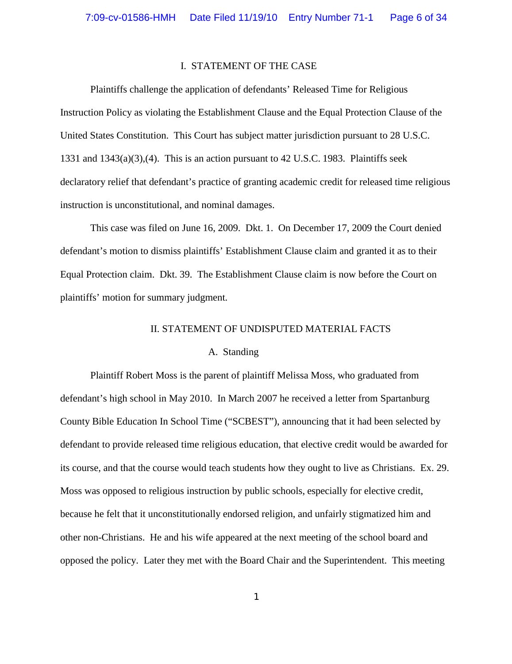## I. STATEMENT OF THE CASE

Plaintiffs challenge the application of defendants' Released Time for Religious Instruction Policy as violating the Establishment Clause and the Equal Protection Clause of the United States Constitution. This Court has subject matter jurisdiction pursuant to 28 U.S.C. 1331 and 1343(a)(3),(4). This is an action pursuant to 42 U.S.C. 1983. Plaintiffs seek declaratory relief that defendant's practice of granting academic credit for released time religious instruction is unconstitutional, and nominal damages.

This case was filed on June 16, 2009. Dkt. 1. On December 17, 2009 the Court denied defendant's motion to dismiss plaintiffs' Establishment Clause claim and granted it as to their Equal Protection claim. Dkt. 39. The Establishment Clause claim is now before the Court on plaintiffs' motion for summary judgment.

## II. STATEMENT OF UNDISPUTED MATERIAL FACTS

#### A. Standing

Plaintiff Robert Moss is the parent of plaintiff Melissa Moss, who graduated from defendant's high school in May 2010. In March 2007 he received a letter from Spartanburg County Bible Education In School Time ("SCBEST"), announcing that it had been selected by defendant to provide released time religious education, that elective credit would be awarded for its course, and that the course would teach students how they ought to live as Christians. Ex. 29. Moss was opposed to religious instruction by public schools, especially for elective credit, because he felt that it unconstitutionally endorsed religion, and unfairly stigmatized him and other non-Christians. He and his wife appeared at the next meeting of the school board and opposed the policy. Later they met with the Board Chair and the Superintendent. This meeting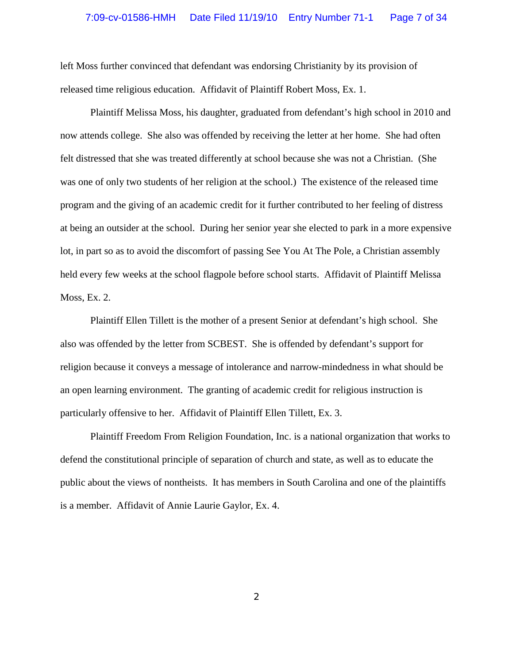left Moss further convinced that defendant was endorsing Christianity by its provision of released time religious education. Affidavit of Plaintiff Robert Moss, Ex. 1.

Plaintiff Melissa Moss, his daughter, graduated from defendant's high school in 2010 and now attends college. She also was offended by receiving the letter at her home. She had often felt distressed that she was treated differently at school because she was not a Christian. (She was one of only two students of her religion at the school.) The existence of the released time program and the giving of an academic credit for it further contributed to her feeling of distress at being an outsider at the school. During her senior year she elected to park in a more expensive lot, in part so as to avoid the discomfort of passing See You At The Pole, a Christian assembly held every few weeks at the school flagpole before school starts. Affidavit of Plaintiff Melissa Moss, Ex. 2.

Plaintiff Ellen Tillett is the mother of a present Senior at defendant's high school. She also was offended by the letter from SCBEST. She is offended by defendant's support for religion because it conveys a message of intolerance and narrow-mindedness in what should be an open learning environment. The granting of academic credit for religious instruction is particularly offensive to her. Affidavit of Plaintiff Ellen Tillett, Ex. 3.

Plaintiff Freedom From Religion Foundation, Inc. is a national organization that works to defend the constitutional principle of separation of church and state, as well as to educate the public about the views of nontheists. It has members in South Carolina and one of the plaintiffs is a member. Affidavit of Annie Laurie Gaylor, Ex. 4.

2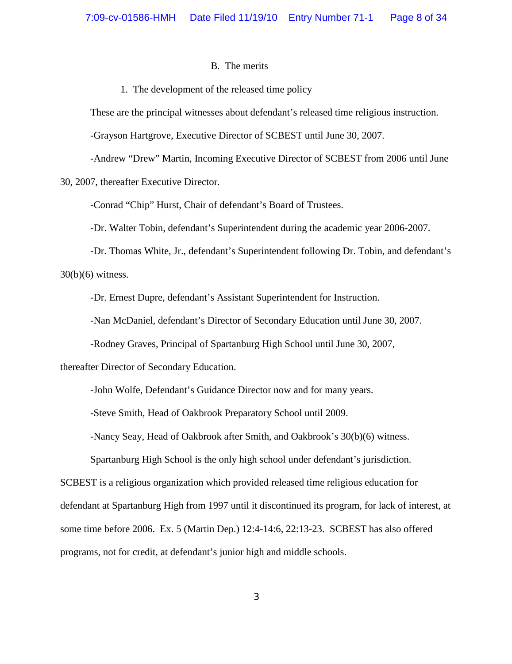#### B. The merits

### 1. The development of the released time policy

These are the principal witnesses about defendant's released time religious instruction.

-Grayson Hartgrove, Executive Director of SCBEST until June 30, 2007.

-Andrew "Drew" Martin, Incoming Executive Director of SCBEST from 2006 until June 30, 2007, thereafter Executive Director.

-Conrad "Chip" Hurst, Chair of defendant's Board of Trustees.

-Dr. Walter Tobin, defendant's Superintendent during the academic year 2006-2007.

-Dr. Thomas White, Jr., defendant's Superintendent following Dr. Tobin, and defendant's  $30(b)(6)$  witness.

-Dr. Ernest Dupre, defendant's Assistant Superintendent for Instruction.

-Nan McDaniel, defendant's Director of Secondary Education until June 30, 2007.

-Rodney Graves, Principal of Spartanburg High School until June 30, 2007,

thereafter Director of Secondary Education.

-John Wolfe, Defendant's Guidance Director now and for many years.

-Steve Smith, Head of Oakbrook Preparatory School until 2009.

-Nancy Seay, Head of Oakbrook after Smith, and Oakbrook's 30(b)(6) witness.

Spartanburg High School is the only high school under defendant's jurisdiction.

SCBEST is a religious organization which provided released time religious education for defendant at Spartanburg High from 1997 until it discontinued its program, for lack of interest, at some time before 2006. Ex. 5 (Martin Dep.) 12:4-14:6, 22:13-23. SCBEST has also offered programs, not for credit, at defendant's junior high and middle schools.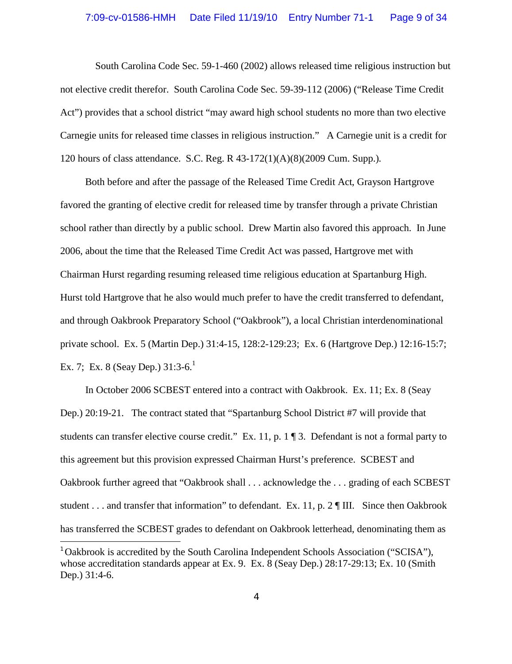South Carolina Code Sec. 59-1-460 (2002) allows released time religious instruction but not elective credit therefor. South Carolina Code Sec. 59-39-112 (2006) ("Release Time Credit Act") provides that a school district "may award high school students no more than two elective Carnegie units for released time classes in religious instruction." A Carnegie unit is a credit for 120 hours of class attendance. S.C. Reg. R 43-172(1)(A)(8)(2009 Cum. Supp.).

Both before and after the passage of the Released Time Credit Act, Grayson Hartgrove favored the granting of elective credit for released time by transfer through a private Christian school rather than directly by a public school. Drew Martin also favored this approach. In June 2006, about the time that the Released Time Credit Act was passed, Hartgrove met with Chairman Hurst regarding resuming released time religious education at Spartanburg High. Hurst told Hartgrove that he also would much prefer to have the credit transferred to defendant, and through Oakbrook Preparatory School ("Oakbrook"), a local Christian interdenominational private school. Ex. 5 (Martin Dep.) 31:4-15, 128:2-129:23; Ex. 6 (Hartgrove Dep.) 12:16-15:7; Ex. 7; Ex. 8 (Seay Dep.)  $31:3-6<sup>1</sup>$ 

In October 2006 SCBEST entered into a contract with Oakbrook. Ex. 11; Ex. 8 (Seay Dep.) 20:19-21. The contract stated that "Spartanburg School District #7 will provide that students can transfer elective course credit." Ex. 11, p. 1 ¶ 3. Defendant is not a formal party to this agreement but this provision expressed Chairman Hurst's preference. SCBEST and Oakbrook further agreed that "Oakbrook shall . . . acknowledge the . . . grading of each SCBEST student . . . and transfer that information" to defendant. Ex. 11*,* p. 2 ¶ III. Since then Oakbrook has transferred the SCBEST grades to defendant on Oakbrook letterhead, denominating them as

<sup>&</sup>lt;sup>1</sup> Oakbrook is accredited by the South Carolina Independent Schools Association ("SCISA"), whose accreditation standards appear at Ex. 9. Ex. 8 (Seay Dep.) 28:17-29:13; Ex. 10 (Smith Dep.) 31:4-6.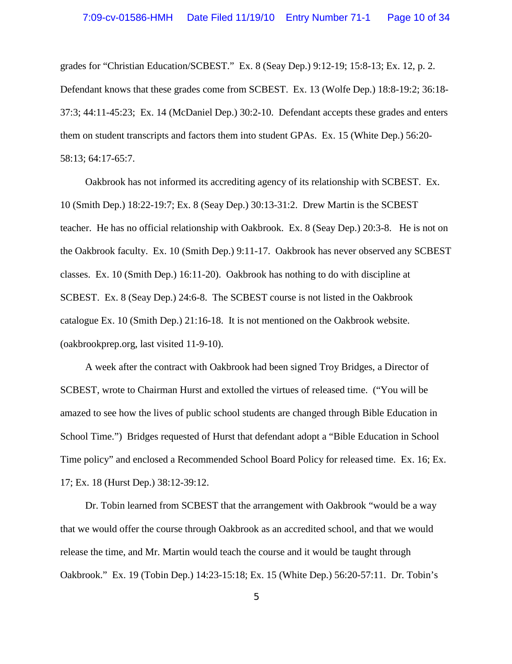grades for "Christian Education/SCBEST." Ex. 8 (Seay Dep.) 9:12-19; 15:8-13; Ex. 12, p. 2. Defendant knows that these grades come from SCBEST. Ex. 13 (Wolfe Dep.) 18:8-19:2; 36:18- 37:3; 44:11-45:23; Ex. 14 (McDaniel Dep.) 30:2-10. Defendant accepts these grades and enters them on student transcripts and factors them into student GPAs. Ex. 15 (White Dep.) 56:20- 58:13; 64:17-65:7.

Oakbrook has not informed its accrediting agency of its relationship with SCBEST. Ex. 10 (Smith Dep.) 18:22-19:7; Ex. 8 (Seay Dep.) 30:13-31:2. Drew Martin is the SCBEST teacher. He has no official relationship with Oakbrook. Ex. 8 (Seay Dep.) 20:3-8. He is not on the Oakbrook faculty. Ex. 10 (Smith Dep.) 9:11-17. Oakbrook has never observed any SCBEST classes. Ex. 10 (Smith Dep.) 16:11-20). Oakbrook has nothing to do with discipline at SCBEST. Ex. 8 (Seay Dep.) 24:6-8. The SCBEST course is not listed in the Oakbrook catalogue Ex. 10 (Smith Dep.) 21:16-18. It is not mentioned on the Oakbrook website. (oakbrookprep.org, last visited 11-9-10).

A week after the contract with Oakbrook had been signed Troy Bridges, a Director of SCBEST, wrote to Chairman Hurst and extolled the virtues of released time. ("You will be amazed to see how the lives of public school students are changed through Bible Education in School Time.") Bridges requested of Hurst that defendant adopt a "Bible Education in School Time policy" and enclosed a Recommended School Board Policy for released time. Ex. 16; Ex. 17; Ex. 18 (Hurst Dep.) 38:12-39:12.

Dr. Tobin learned from SCBEST that the arrangement with Oakbrook "would be a way that we would offer the course through Oakbrook as an accredited school, and that we would release the time, and Mr. Martin would teach the course and it would be taught through Oakbrook." Ex. 19 (Tobin Dep.) 14:23-15:18; Ex. 15 (White Dep.) 56:20-57:11. Dr. Tobin's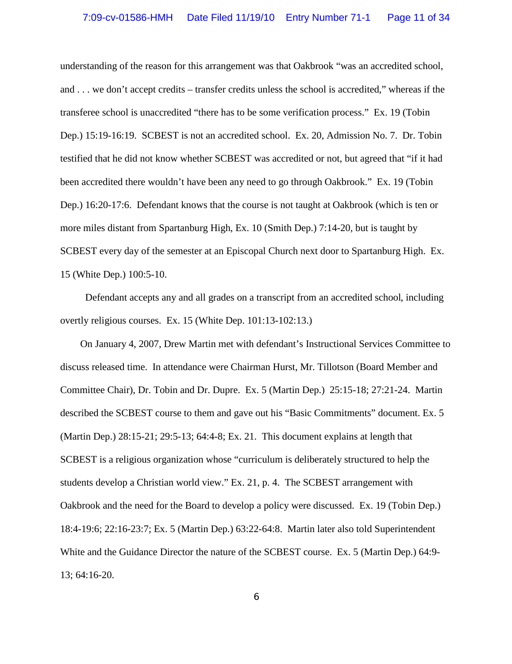understanding of the reason for this arrangement was that Oakbrook "was an accredited school, and . . . we don't accept credits – transfer credits unless the school is accredited," whereas if the transferee school is unaccredited "there has to be some verification process." Ex. 19 (Tobin Dep.) 15:19-16:19. SCBEST is not an accredited school. Ex. 20, Admission No. 7. Dr. Tobin testified that he did not know whether SCBEST was accredited or not, but agreed that "if it had been accredited there wouldn't have been any need to go through Oakbrook." Ex. 19 (Tobin Dep.) 16:20-17:6. Defendant knows that the course is not taught at Oakbrook (which is ten or more miles distant from Spartanburg High, Ex. 10 (Smith Dep.) 7:14-20, but is taught by SCBEST every day of the semester at an Episcopal Church next door to Spartanburg High. Ex. 15 (White Dep.) 100:5-10.

Defendant accepts any and all grades on a transcript from an accredited school, including overtly religious courses. Ex. 15 (White Dep. 101:13-102:13.)

On January 4, 2007, Drew Martin met with defendant's Instructional Services Committee to discuss released time. In attendance were Chairman Hurst, Mr. Tillotson (Board Member and Committee Chair), Dr. Tobin and Dr. Dupre. Ex. 5 (Martin Dep.) 25:15-18; 27:21-24. Martin described the SCBEST course to them and gave out his "Basic Commitments" document. Ex. 5 (Martin Dep.) 28:15-21; 29:5-13; 64:4-8; Ex. 21. This document explains at length that SCBEST is a religious organization whose "curriculum is deliberately structured to help the students develop a Christian world view." Ex. 21, p. 4. The SCBEST arrangement with Oakbrook and the need for the Board to develop a policy were discussed. Ex. 19 (Tobin Dep.) 18:4-19:6; 22:16-23:7; Ex. 5 (Martin Dep.) 63:22-64:8. Martin later also told Superintendent White and the Guidance Director the nature of the SCBEST course. Ex. 5 (Martin Dep.) 64:9- 13; 64:16-20.

6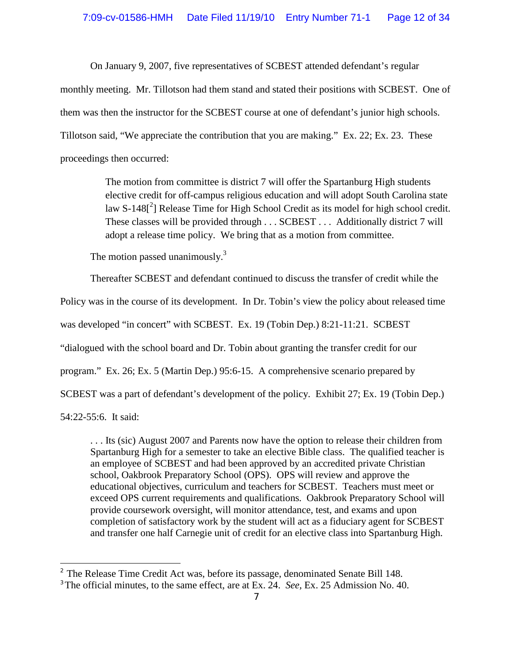On January 9, 2007, five representatives of SCBEST attended defendant's regular monthly meeting. Mr. Tillotson had them stand and stated their positions with SCBEST. One of them was then the instructor for the SCBEST course at one of defendant's junior high schools. Tillotson said, "We appreciate the contribution that you are making." Ex. 22; Ex. 23. These proceedings then occurred:

> The motion from committee is district 7 will offer the Spartanburg High students elective credit for off-campus religious education and will adopt South Carolina state law S-148<sup>[2</sup>] Release Time for High School Credit as its model for high school credit. These classes will be provided through . . . SCBEST . . . Additionally district 7 will adopt a release time policy. We bring that as a motion from committee.

The motion passed unanimously. $3$ 

Thereafter SCBEST and defendant continued to discuss the transfer of credit while the Policy was in the course of its development. In Dr. Tobin's view the policy about released time was developed "in concert" with SCBEST. Ex. 19 (Tobin Dep.) 8:21-11:21. SCBEST "dialogued with the school board and Dr. Tobin about granting the transfer credit for our program." Ex. 26; Ex. 5 (Martin Dep.) 95:6-15. A comprehensive scenario prepared by SCBEST was a part of defendant's development of the policy. Exhibit 27; Ex. 19 (Tobin Dep.) 54:22-55:6. It said:

. . . Its (sic) August 2007 and Parents now have the option to release their children from Spartanburg High for a semester to take an elective Bible class. The qualified teacher is an employee of SCBEST and had been approved by an accredited private Christian school, Oakbrook Preparatory School (OPS). OPS will review and approve the educational objectives, curriculum and teachers for SCBEST. Teachers must meet or exceed OPS current requirements and qualifications. Oakbrook Preparatory School will provide coursework oversight, will monitor attendance, test, and exams and upon completion of satisfactory work by the student will act as a fiduciary agent for SCBEST and transfer one half Carnegie unit of credit for an elective class into Spartanburg High.

<sup>&</sup>lt;sup>2</sup> The Release Time Credit Act was, before its passage, denominated Senate Bill 148.

<sup>3</sup> The official minutes, to the same effect, are at Ex. 24. *See,* Ex. 25 Admission No. 40.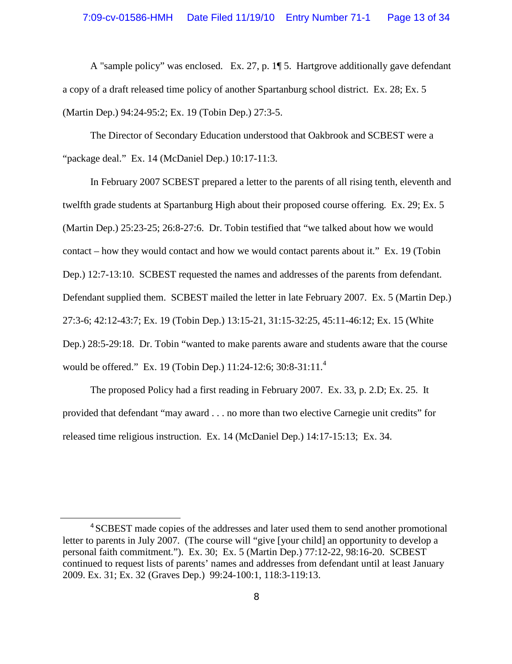A "sample policy" was enclosed. Ex. 27, p. 1¶ 5. Hartgrove additionally gave defendant a copy of a draft released time policy of another Spartanburg school district. Ex. 28; Ex. 5 (Martin Dep.) 94:24-95:2; Ex. 19 (Tobin Dep.) 27:3-5.

The Director of Secondary Education understood that Oakbrook and SCBEST were a "package deal." Ex. 14 (McDaniel Dep.) 10:17-11:3.

In February 2007 SCBEST prepared a letter to the parents of all rising tenth, eleventh and twelfth grade students at Spartanburg High about their proposed course offering. Ex. 29; Ex. 5 (Martin Dep.) 25:23-25; 26:8-27:6. Dr. Tobin testified that "we talked about how we would contact – how they would contact and how we would contact parents about it." Ex. 19 (Tobin Dep.) 12:7-13:10. SCBEST requested the names and addresses of the parents from defendant. Defendant supplied them. SCBEST mailed the letter in late February 2007. Ex. 5 (Martin Dep.) 27:3-6; 42:12-43:7; Ex. 19 (Tobin Dep.) 13:15-21, 31:15-32:25, 45:11-46:12; Ex. 15 (White Dep.) 28:5-29:18. Dr. Tobin "wanted to make parents aware and students aware that the course would be offered." Ex. 19 (Tobin Dep.) 11:24-12:6; 30:8-31:11.<sup>4</sup>

The proposed Policy had a first reading in February 2007. Ex. 33, p. 2.D; Ex. 25. It provided that defendant "may award . . . no more than two elective Carnegie unit credits" for released time religious instruction. Ex. 14 (McDaniel Dep.) 14:17-15:13; Ex. 34.

<sup>&</sup>lt;sup>4</sup> SCBEST made copies of the addresses and later used them to send another promotional letter to parents in July 2007. (The course will "give [your child] an opportunity to develop a personal faith commitment."). Ex. 30; Ex. 5 (Martin Dep.) 77:12-22, 98:16-20. SCBEST continued to request lists of parents' names and addresses from defendant until at least January 2009. Ex. 31; Ex. 32 (Graves Dep.) 99:24-100:1, 118:3-119:13.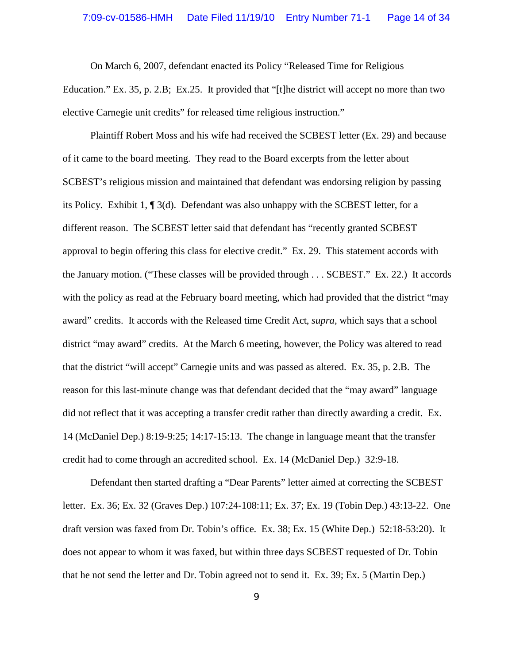On March 6, 2007, defendant enacted its Policy "Released Time for Religious Education." Ex. 35, p. 2.B; Ex.25. It provided that "[t]he district will accept no more than two elective Carnegie unit credits" for released time religious instruction."

Plaintiff Robert Moss and his wife had received the SCBEST letter (Ex. 29) and because of it came to the board meeting. They read to the Board excerpts from the letter about SCBEST's religious mission and maintained that defendant was endorsing religion by passing its Policy. Exhibit 1, ¶ 3(d). Defendant was also unhappy with the SCBEST letter, for a different reason. The SCBEST letter said that defendant has "recently granted SCBEST approval to begin offering this class for elective credit." Ex. 29. This statement accords with the January motion. ("These classes will be provided through . . . SCBEST." Ex. 22.) It accords with the policy as read at the February board meeting, which had provided that the district "may award" credits. It accords with the Released time Credit Act, *supra,* which says that a school district "may award" credits. At the March 6 meeting, however, the Policy was altered to read that the district "will accept" Carnegie units and was passed as altered. Ex. 35, p. 2.B. The reason for this last-minute change was that defendant decided that the "may award" language did not reflect that it was accepting a transfer credit rather than directly awarding a credit. Ex. 14 (McDaniel Dep.) 8:19-9:25; 14:17-15:13. The change in language meant that the transfer credit had to come through an accredited school. Ex. 14 (McDaniel Dep.) 32:9-18.

Defendant then started drafting a "Dear Parents" letter aimed at correcting the SCBEST letter. Ex. 36; Ex. 32 (Graves Dep.) 107:24-108:11; Ex. 37; Ex. 19 (Tobin Dep.) 43:13-22. One draft version was faxed from Dr. Tobin's office. Ex. 38; Ex. 15 (White Dep.) 52:18-53:20). It does not appear to whom it was faxed, but within three days SCBEST requested of Dr. Tobin that he not send the letter and Dr. Tobin agreed not to send it. Ex. 39; Ex. 5 (Martin Dep.)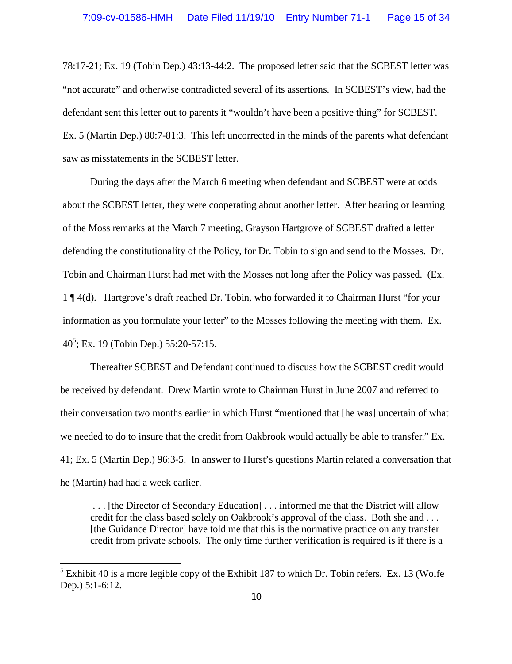78:17-21; Ex. 19 (Tobin Dep.) 43:13-44:2. The proposed letter said that the SCBEST letter was "not accurate" and otherwise contradicted several of its assertions. In SCBEST's view, had the defendant sent this letter out to parents it "wouldn't have been a positive thing" for SCBEST. Ex. 5 (Martin Dep.) 80:7-81:3. This left uncorrected in the minds of the parents what defendant saw as misstatements in the SCBEST letter.

During the days after the March 6 meeting when defendant and SCBEST were at odds about the SCBEST letter, they were cooperating about another letter. After hearing or learning of the Moss remarks at the March 7 meeting, Grayson Hartgrove of SCBEST drafted a letter defending the constitutionality of the Policy, for Dr. Tobin to sign and send to the Mosses. Dr. Tobin and Chairman Hurst had met with the Mosses not long after the Policy was passed. (Ex. 1 ¶ 4(d). Hartgrove's draft reached Dr. Tobin, who forwarded it to Chairman Hurst "for your information as you formulate your letter" to the Mosses following the meeting with them. Ex. 40<sup>5</sup>; Ex. 19 (Tobin Dep.) 55:20-57:15.

Thereafter SCBEST and Defendant continued to discuss how the SCBEST credit would be received by defendant. Drew Martin wrote to Chairman Hurst in June 2007 and referred to their conversation two months earlier in which Hurst "mentioned that [he was] uncertain of what we needed to do to insure that the credit from Oakbrook would actually be able to transfer." Ex. 41; Ex. 5 (Martin Dep.) 96:3-5. In answer to Hurst's questions Martin related a conversation that he (Martin) had had a week earlier.

. . . [the Director of Secondary Education] . . . informed me that the District will allow credit for the class based solely on Oakbrook's approval of the class. Both she and . . . [the Guidance Director] have told me that this is the normative practice on any transfer credit from private schools. The only time further verification is required is if there is a

 $<sup>5</sup>$  Exhibit 40 is a more legible copy of the Exhibit 187 to which Dr. Tobin refers. Ex. 13 (Wolfe</sup> Dep.) 5:1-6:12.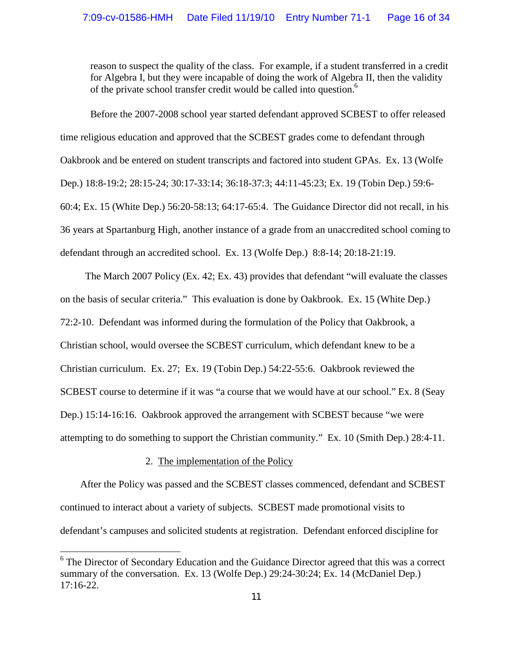reason to suspect the quality of the class. For example, if a student transferred in a credit for Algebra I, but they were incapable of doing the work of Algebra II, then the validity of the private school transfer credit would be called into question.<sup>6</sup>

Before the 2007-2008 school year started defendant approved SCBEST to offer released time religious education and approved that the SCBEST grades come to defendant through Oakbrook and be entered on student transcripts and factored into student GPAs. Ex. 13 (Wolfe Dep.) 18:8-19:2; 28:15-24; 30:17-33:14; 36:18-37:3; 44:11-45:23; Ex. 19 (Tobin Dep.) 59:6- 60:4; Ex. 15 (White Dep.) 56:20-58:13; 64:17-65:4. The Guidance Director did not recall, in his 36 years at Spartanburg High, another instance of a grade from an unaccredited school coming to defendant through an accredited school. Ex. 13 (Wolfe Dep.) 8:8-14; 20:18-21:19.

The March 2007 Policy (Ex. 42; Ex. 43) provides that defendant "will evaluate the classes on the basis of secular criteria." This evaluation is done by Oakbrook. Ex. 15 (White Dep.) 72:2-10. Defendant was informed during the formulation of the Policy that Oakbrook, a Christian school, would oversee the SCBEST curriculum, which defendant knew to be a Christian curriculum. Ex. 27; Ex. 19 (Tobin Dep.) 54:22-55:6. Oakbrook reviewed the SCBEST course to determine if it was "a course that we would have at our school." Ex. 8 (Seay Dep.) 15:14-16:16. Oakbrook approved the arrangement with SCBEST because "we were attempting to do something to support the Christian community." Ex. 10 (Smith Dep.) 28:4-11.

## 2. The implementation of the Policy

After the Policy was passed and the SCBEST classes commenced, defendant and SCBEST continued to interact about a variety of subjects. SCBEST made promotional visits to defendant's campuses and solicited students at registration. Defendant enforced discipline for

<sup>&</sup>lt;sup>6</sup> The Director of Secondary Education and the Guidance Director agreed that this was a correct summary of the conversation. Ex. 13 (Wolfe Dep.) 29:24-30:24; Ex. 14 (McDaniel Dep.) 17:16-22.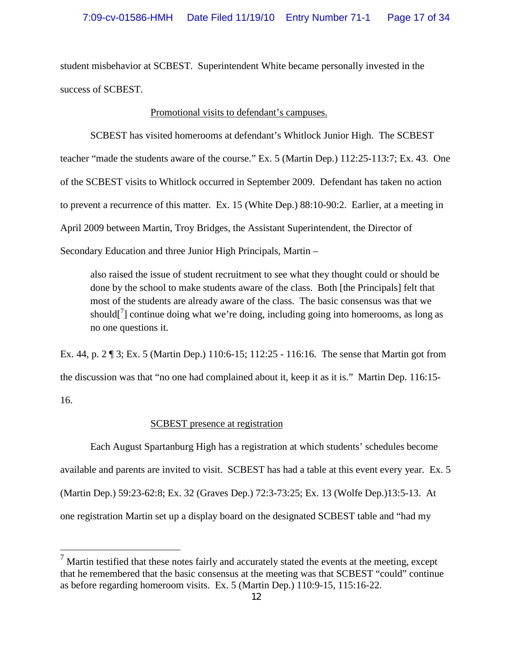student misbehavior at SCBEST. Superintendent White became personally invested in the success of SCBEST.

### Promotional visits to defendant's campuses.

SCBEST has visited homerooms at defendant's Whitlock Junior High. The SCBEST teacher "made the students aware of the course." Ex. 5 (Martin Dep.) 112:25-113:7; Ex. 43. One of the SCBEST visits to Whitlock occurred in September 2009. Defendant has taken no action to prevent a recurrence of this matter. Ex. 15 (White Dep.) 88:10-90:2. Earlier, at a meeting in April 2009 between Martin, Troy Bridges, the Assistant Superintendent, the Director of Secondary Education and three Junior High Principals, Martin –

also raised the issue of student recruitment to see what they thought could or should be done by the school to make students aware of the class. Both [the Principals] felt that most of the students are already aware of the class. The basic consensus was that we should[ $\frac{7}{1}$  continue doing what we're doing, including going into homerooms, as long as no one questions it.

Ex. 44, p. 2 ¶ 3; Ex. 5 (Martin Dep.) 110:6-15; 112:25 - 116:16. The sense that Martin got from the discussion was that "no one had complained about it, keep it as it is." Martin Dep. 116:15- 16.

## SCBEST presence at registration

Each August Spartanburg High has a registration at which students' schedules become available and parents are invited to visit. SCBEST has had a table at this event every year. Ex. 5 (Martin Dep.) 59:23-62:8; Ex. 32 (Graves Dep.) 72:3-73:25; Ex. 13 (Wolfe Dep.)13:5-13. At one registration Martin set up a display board on the designated SCBEST table and "had my

 $<sup>7</sup>$  Martin testified that these notes fairly and accurately stated the events at the meeting, except</sup> that he remembered that the basic consensus at the meeting was that SCBEST "could" continue as before regarding homeroom visits. Ex. 5 (Martin Dep.) 110:9-15, 115:16-22.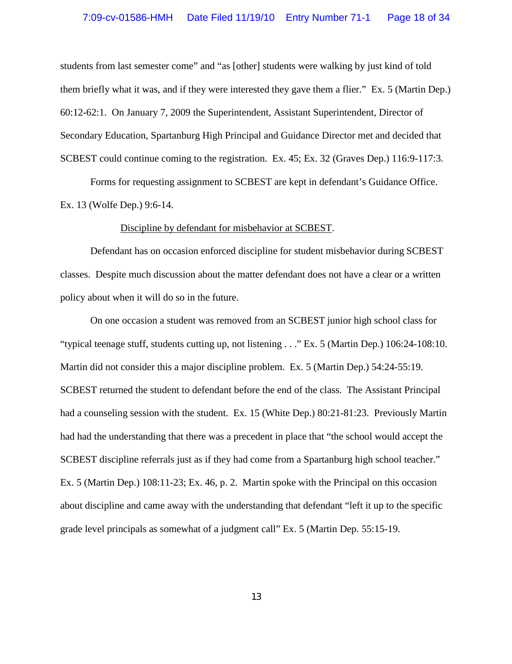students from last semester come" and "as [other] students were walking by just kind of told them briefly what it was, and if they were interested they gave them a flier." Ex. 5 (Martin Dep.) 60:12-62:1. On January 7, 2009 the Superintendent, Assistant Superintendent, Director of Secondary Education, Spartanburg High Principal and Guidance Director met and decided that SCBEST could continue coming to the registration. Ex. 45; Ex. 32 (Graves Dep.) 116:9-117:3.

Forms for requesting assignment to SCBEST are kept in defendant's Guidance Office. Ex. 13 (Wolfe Dep.) 9:6-14.

#### Discipline by defendant for misbehavior at SCBEST.

Defendant has on occasion enforced discipline for student misbehavior during SCBEST classes. Despite much discussion about the matter defendant does not have a clear or a written policy about when it will do so in the future.

On one occasion a student was removed from an SCBEST junior high school class for "typical teenage stuff, students cutting up, not listening . . ." Ex. 5 (Martin Dep.) 106:24-108:10. Martin did not consider this a major discipline problem. Ex. 5 (Martin Dep.) 54:24-55:19. SCBEST returned the student to defendant before the end of the class. The Assistant Principal had a counseling session with the student. Ex. 15 (White Dep.) 80:21-81:23. Previously Martin had had the understanding that there was a precedent in place that "the school would accept the SCBEST discipline referrals just as if they had come from a Spartanburg high school teacher." Ex. 5 (Martin Dep.) 108:11-23; Ex. 46, p. 2. Martin spoke with the Principal on this occasion about discipline and came away with the understanding that defendant "left it up to the specific grade level principals as somewhat of a judgment call" Ex. 5 (Martin Dep. 55:15-19.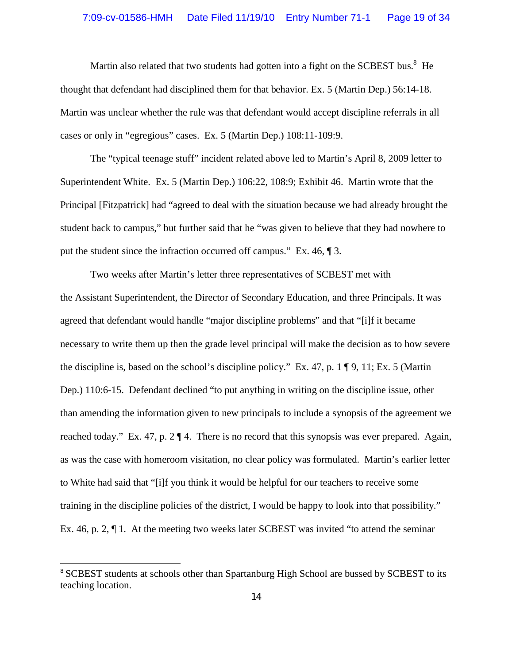Martin also related that two students had gotten into a fight on the SCBEST bus.<sup>8</sup> He thought that defendant had disciplined them for that behavior. Ex. 5 (Martin Dep.) 56:14-18. Martin was unclear whether the rule was that defendant would accept discipline referrals in all cases or only in "egregious" cases. Ex. 5 (Martin Dep.) 108:11-109:9.

The "typical teenage stuff" incident related above led to Martin's April 8, 2009 letter to Superintendent White. Ex. 5 (Martin Dep.) 106:22, 108:9; Exhibit 46. Martin wrote that the Principal [Fitzpatrick] had "agreed to deal with the situation because we had already brought the student back to campus," but further said that he "was given to believe that they had nowhere to put the student since the infraction occurred off campus." Ex. 46, ¶ 3.

Two weeks after Martin's letter three representatives of SCBEST met with the Assistant Superintendent, the Director of Secondary Education, and three Principals. It was agreed that defendant would handle "major discipline problems" and that "[i]f it became necessary to write them up then the grade level principal will make the decision as to how severe the discipline is, based on the school's discipline policy." Ex. 47, p. 1 ¶ 9, 11; Ex. 5 (Martin Dep.) 110:6-15. Defendant declined "to put anything in writing on the discipline issue, other than amending the information given to new principals to include a synopsis of the agreement we reached today." Ex. 47, p. 2 ¶ 4. There is no record that this synopsis was ever prepared. Again, as was the case with homeroom visitation, no clear policy was formulated. Martin's earlier letter to White had said that "[i]f you think it would be helpful for our teachers to receive some training in the discipline policies of the district, I would be happy to look into that possibility." Ex. 46, p. 2,  $\P$  1. At the meeting two weeks later SCBEST was invited "to attend the seminar

<sup>&</sup>lt;sup>8</sup> SCBEST students at schools other than Spartanburg High School are bussed by SCBEST to its teaching location.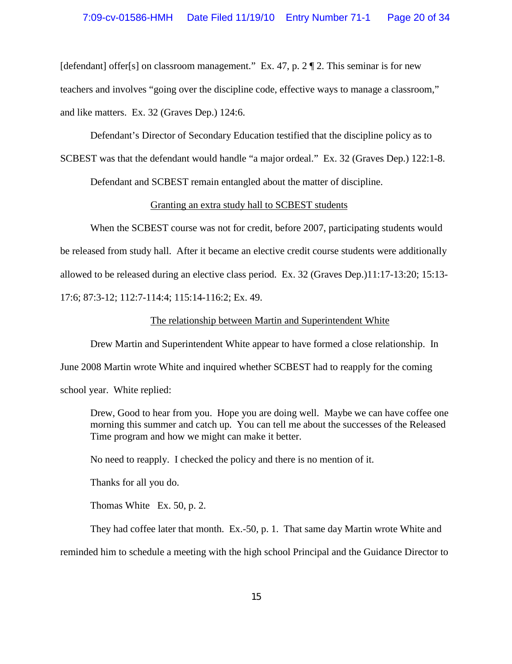[defendant] offer[s] on classroom management." Ex. 47, p.  $2 \P 2$ . This seminar is for new teachers and involves "going over the discipline code, effective ways to manage a classroom," and like matters. Ex. 32 (Graves Dep.) 124:6.

Defendant's Director of Secondary Education testified that the discipline policy as to

SCBEST was that the defendant would handle "a major ordeal." Ex. 32 (Graves Dep.) 122:1-8.

Defendant and SCBEST remain entangled about the matter of discipline.

#### Granting an extra study hall to SCBEST students

When the SCBEST course was not for credit, before 2007, participating students would be released from study hall. After it became an elective credit course students were additionally allowed to be released during an elective class period. Ex. 32 (Graves Dep.)11:17-13:20; 15:13- 17:6; 87:3-12; 112:7-114:4; 115:14-116:2; Ex. 49.

#### The relationship between Martin and Superintendent White

Drew Martin and Superintendent White appear to have formed a close relationship. In June 2008 Martin wrote White and inquired whether SCBEST had to reapply for the coming

school year. White replied:

Drew, Good to hear from you. Hope you are doing well. Maybe we can have coffee one morning this summer and catch up. You can tell me about the successes of the Released Time program and how we might can make it better.

No need to reapply. I checked the policy and there is no mention of it.

Thanks for all you do.

Thomas White Ex. 50, p. 2.

They had coffee later that month. Ex.-50, p. 1. That same day Martin wrote White and

reminded him to schedule a meeting with the high school Principal and the Guidance Director to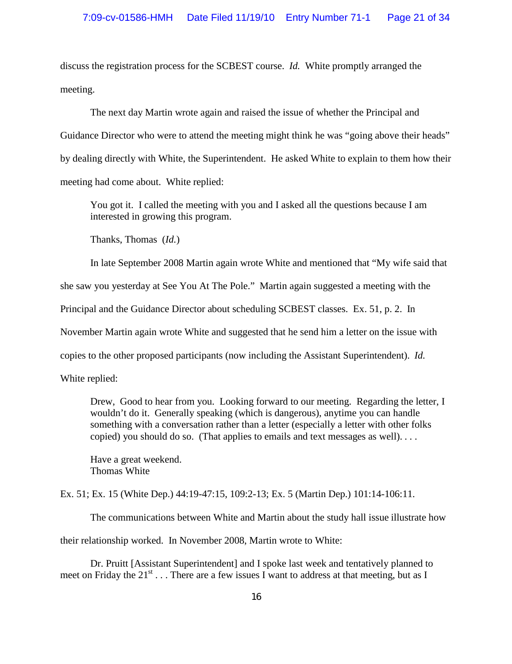discuss the registration process for the SCBEST course. *Id.* White promptly arranged the meeting.

The next day Martin wrote again and raised the issue of whether the Principal and Guidance Director who were to attend the meeting might think he was "going above their heads" by dealing directly with White, the Superintendent. He asked White to explain to them how their meeting had come about. White replied:

You got it. I called the meeting with you and I asked all the questions because I am interested in growing this program.

Thanks, Thomas (*Id.*)

In late September 2008 Martin again wrote White and mentioned that "My wife said that she saw you yesterday at See You At The Pole." Martin again suggested a meeting with the Principal and the Guidance Director about scheduling SCBEST classes. Ex. 51, p. 2. In November Martin again wrote White and suggested that he send him a letter on the issue with copies to the other proposed participants (now including the Assistant Superintendent). *Id.* White replied:

Drew, Good to hear from you. Looking forward to our meeting. Regarding the letter, I wouldn't do it. Generally speaking (which is dangerous), anytime you can handle something with a conversation rather than a letter (especially a letter with other folks copied) you should do so. (That applies to emails and text messages as well). . . .

Have a great weekend. Thomas White

Ex. 51; Ex. 15 (White Dep.) 44:19-47:15, 109:2-13; Ex. 5 (Martin Dep.) 101:14-106:11.

The communications between White and Martin about the study hall issue illustrate how

their relationship worked. In November 2008, Martin wrote to White:

Dr. Pruitt [Assistant Superintendent] and I spoke last week and tentatively planned to meet on Friday the  $21^{st}$ ... There are a few issues I want to address at that meeting, but as I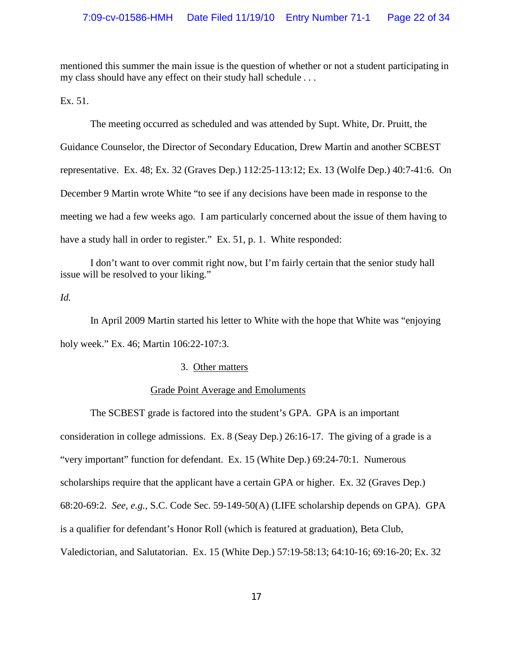mentioned this summer the main issue is the question of whether or not a student participating in my class should have any effect on their study hall schedule . . .

Ex. 51.

The meeting occurred as scheduled and was attended by Supt. White, Dr. Pruitt, the Guidance Counselor, the Director of Secondary Education, Drew Martin and another SCBEST representative. Ex. 48; Ex. 32 (Graves Dep.) 112:25-113:12; Ex. 13 (Wolfe Dep.) 40:7-41:6. On December 9 Martin wrote White "to see if any decisions have been made in response to the meeting we had a few weeks ago. I am particularly concerned about the issue of them having to have a study hall in order to register." Ex. 51, p. 1. White responded:

I don't want to over commit right now, but I'm fairly certain that the senior study hall issue will be resolved to your liking."

## *Id.*

In April 2009 Martin started his letter to White with the hope that White was "enjoying holy week." Ex. 46; Martin 106:22-107:3.

## 3. Other matters

### Grade Point Average and Emoluments

The SCBEST grade is factored into the student's GPA. GPA is an important consideration in college admissions. Ex. 8 (Seay Dep.) 26:16-17. The giving of a grade is a "very important" function for defendant. Ex. 15 (White Dep.) 69:24-70:1. Numerous scholarships require that the applicant have a certain GPA or higher. Ex. 32 (Graves Dep.) 68:20-69:2. *See, e.g.,* S.C. Code Sec. 59-149-50(A) (LIFE scholarship depends on GPA). GPA is a qualifier for defendant's Honor Roll (which is featured at graduation), Beta Club, Valedictorian, and Salutatorian. Ex. 15 (White Dep.) 57:19-58:13; 64:10-16; 69:16-20; Ex. 32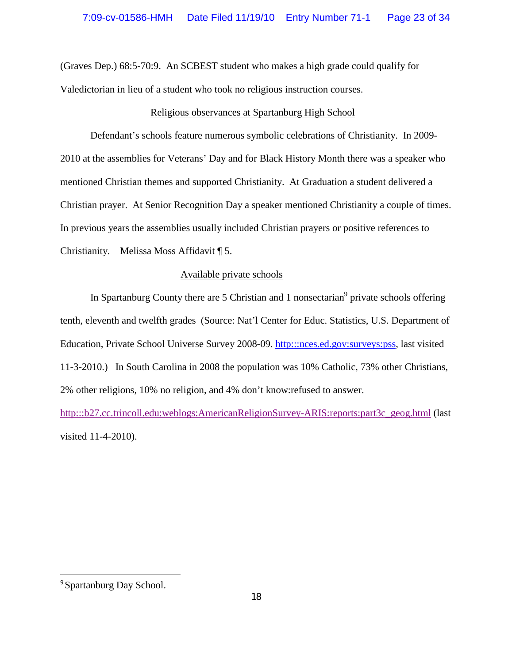(Graves Dep.) 68:5-70:9. An SCBEST student who makes a high grade could qualify for Valedictorian in lieu of a student who took no religious instruction courses.

## Religious observances at Spartanburg High School

Defendant's schools feature numerous symbolic celebrations of Christianity. In 2009- 2010 at the assemblies for Veterans' Day and for Black History Month there was a speaker who mentioned Christian themes and supported Christianity. At Graduation a student delivered a Christian prayer. At Senior Recognition Day a speaker mentioned Christianity a couple of times. In previous years the assemblies usually included Christian prayers or positive references to Christianity. Melissa Moss Affidavit ¶ 5.

## Available private schools

In Spartanburg County there are 5 Christian and 1 nonsectarian<sup>9</sup> private schools offering tenth, eleventh and twelfth grades (Source: Nat'l Center for Educ. Statistics, U.S. Department of Education, Private School Universe Survey 2008-09. http:::nces.ed.gov:surveys:pss, last visited 11-3-2010.) In South Carolina in 2008 the population was 10% Catholic, 73% other Christians, 2% other religions, 10% no religion, and 4% don't know:refused to answer.

http:::b27.cc.trincoll.edu:weblogs:AmericanReligionSurvey-ARIS:reports:part3c\_geog.html (last visited 11-4-2010).

<sup>9</sup> Spartanburg Day School.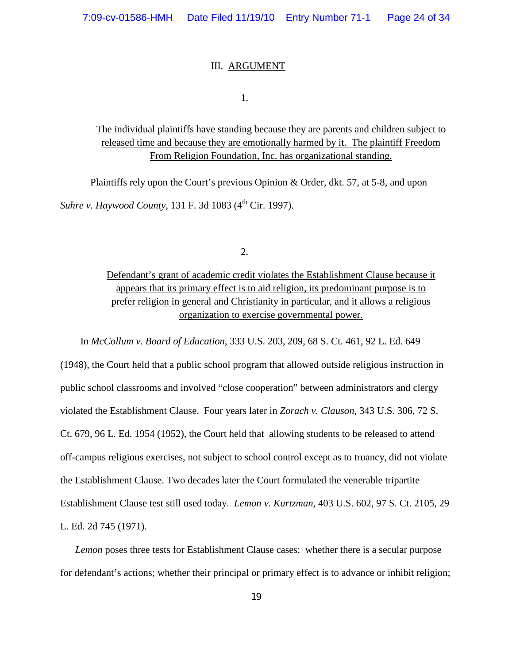#### III. ARGUMENT

1.

## The individual plaintiffs have standing because they are parents and children subject to released time and because they are emotionally harmed by it. The plaintiff Freedom From Religion Foundation, Inc. has organizational standing.

Plaintiffs rely upon the Court's previous Opinion & Order, dkt. 57, at 5-8, and upon *Suhre v. Haywood County*, 131 F. 3d 1083 (4<sup>th</sup> Cir. 1997).

2.

Defendant's grant of academic credit violates the Establishment Clause because it appears that its primary effect is to aid religion, its predominant purpose is to prefer religion in general and Christianity in particular, and it allows a religious organization to exercise governmental power.

In *McCollum v. Board of Education*, 333 U.S. 203, 209, 68 S. Ct. 461, 92 L. Ed. 649

(1948), the Court held that a public school program that allowed outside religious instruction in public school classrooms and involved "close cooperation" between administrators and clergy violated the Establishment Clause. Four years later in *Zorach v. Clauson*, 343 U.S. 306, 72 S. Ct. 679, 96 L. Ed. 1954 (1952), the Court held that allowing students to be released to attend off-campus religious exercises, not subject to school control except as to truancy, did not violate the Establishment Clause. Two decades later the Court formulated the venerable tripartite Establishment Clause test still used today. *Lemon v. Kurtzman*, 403 U.S. 602, 97 S. Ct. 2105, 29 L. Ed. 2d 745 (1971).

*Lemon* poses three tests for Establishment Clause cases: whether there is a secular purpose for defendant's actions; whether their principal or primary effect is to advance or inhibit religion;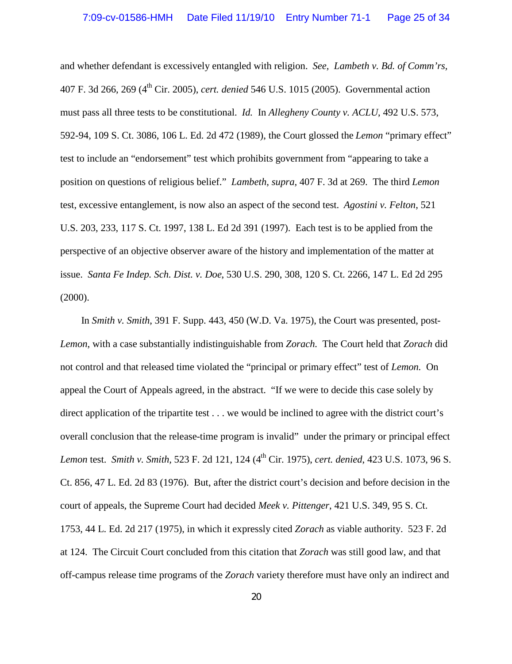and whether defendant is excessively entangled with religion. *See, Lambeth v. Bd. of Comm'rs,* 407 F. 3d 266, 269 (4th Cir. 2005), *cert. denied* 546 U.S. 1015 (2005). Governmental action must pass all three tests to be constitutional. *Id.* In *Allegheny County v. ACLU*, 492 U.S. 573, 592-94, 109 S. Ct. 3086, 106 L. Ed. 2d 472 (1989), the Court glossed the *Lemon* "primary effect" test to include an "endorsement" test which prohibits government from "appearing to take a position on questions of religious belief." *Lambeth, supra,* 407 F. 3d at 269. The third *Lemon* test, excessive entanglement, is now also an aspect of the second test. *Agostini v. Felton,* 521 U.S. 203, 233, 117 S. Ct. 1997, 138 L. Ed 2d 391 (1997). Each test is to be applied from the perspective of an objective observer aware of the history and implementation of the matter at issue. *Santa Fe Indep. Sch. Dist. v. Doe*, 530 U.S. 290, 308, 120 S. Ct. 2266, 147 L. Ed 2d 295 (2000).

In *Smith v. Smith*, 391 F. Supp. 443, 450 (W.D. Va. 1975), the Court was presented, post-*Lemon*, with a case substantially indistinguishable from *Zorach.* The Court held that *Zorach* did not control and that released time violated the "principal or primary effect" test of *Lemon.* On appeal the Court of Appeals agreed, in the abstract. "If we were to decide this case solely by direct application of the tripartite test . . . we would be inclined to agree with the district court's overall conclusion that the release-time program is invalid" under the primary or principal effect *Lemon* test. *Smith v. Smith,* 523 F. 2d 121, 124 (4th Cir. 1975), *cert. denied*, 423 U.S. 1073, 96 S. Ct. 856, 47 L. Ed. 2d 83 (1976). But, after the district court's decision and before decision in the court of appeals, the Supreme Court had decided *Meek v. Pittenger*, 421 U.S. 349, 95 S. Ct. 1753, 44 L. Ed. 2d 217 (1975), in which it expressly cited *Zorach* as viable authority. 523 F. 2d at 124. The Circuit Court concluded from this citation that *Zorach* was still good law, and that off-campus release time programs of the *Zorach* variety therefore must have only an indirect and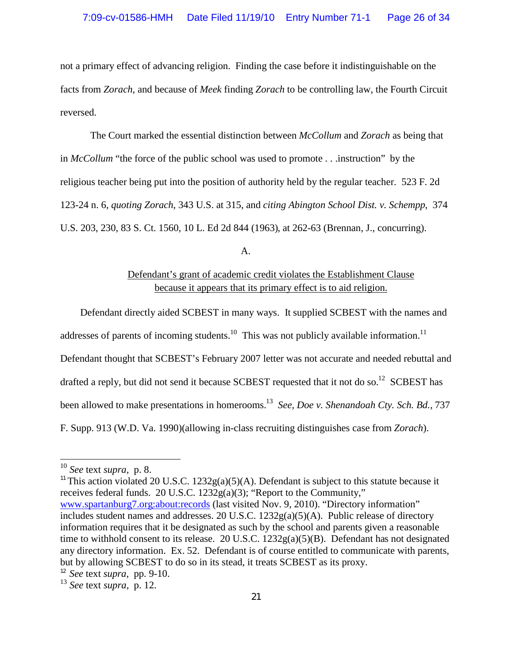not a primary effect of advancing religion. Finding the case before it indistinguishable on the facts from *Zorach,* and because of *Meek* finding *Zorach* to be controlling law, the Fourth Circuit reversed.

The Court marked the essential distinction between *McCollum* and *Zorach* as being that in *McCollum* "the force of the public school was used to promote . . .instruction" by the religious teacher being put into the position of authority held by the regular teacher. 523 F. 2d 123-24 n. 6, *quoting Zorach*, 343 U.S. at 315, and *citing Abington School Dist. v. Schempp*, 374 U.S. 203, 230, 83 S. Ct. 1560, 10 L. Ed 2d 844 (1963), at 262-63 (Brennan, J., concurring).

A.

## Defendant's grant of academic credit violates the Establishment Clause because it appears that its primary effect is to aid religion.

Defendant directly aided SCBEST in many ways. It supplied SCBEST with the names and

addresses of parents of incoming students.<sup>10</sup> This was not publicly available information.<sup>11</sup>

Defendant thought that SCBEST's February 2007 letter was not accurate and needed rebuttal and

drafted a reply, but did not send it because SCBEST requested that it not do so.<sup>12</sup> SCBEST has

been allowed to make presentations in homerooms.<sup>13</sup> *See, Doe v. Shenandoah Cty. Sch. Bd.,* 737

F. Supp. 913 (W.D. Va. 1990)(allowing in-class recruiting distinguishes case from *Zorach*).

<sup>11</sup> This action violated 20 U.S.C. 1232g(a)(5)(A). Defendant is subject to this statute because it receives federal funds. 20 U.S.C. 1232g(a)(3); "Report to the Community," <www.spartanburg7.org:about:records> (last visited Nov. 9, 2010). "Directory information" includes student names and addresses. 20 U.S.C. 1232g(a)(5)(A). Public release of directory information requires that it be designated as such by the school and parents given a reasonable time to withhold consent to its release. 20 U.S.C. 1232g(a)(5)(B). Defendant has not designated any directory information. Ex. 52. Defendant is of course entitled to communicate with parents, but by allowing SCBEST to do so in its stead, it treats SCBEST as its proxy.

<sup>10</sup> *See* text *supra,* p. 8.

<sup>12</sup> *See* text *supra,* pp. 9-10.

<sup>13</sup> *See* text *supra,* p. 12.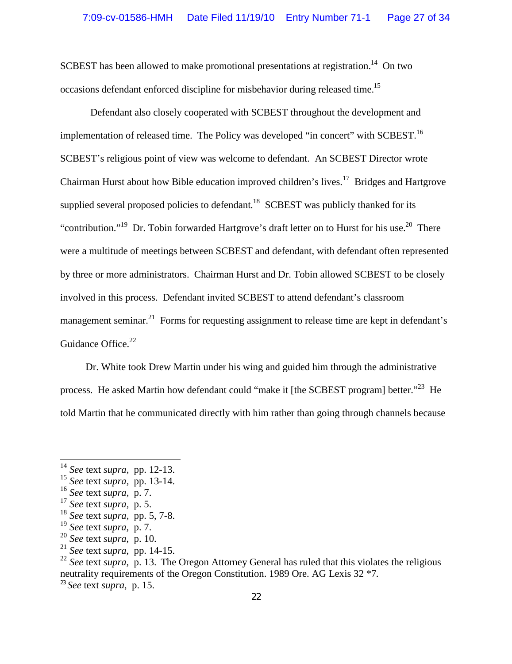SCBEST has been allowed to make promotional presentations at registration.<sup>14</sup> On two occasions defendant enforced discipline for misbehavior during released time.<sup>15</sup>

Defendant also closely cooperated with SCBEST throughout the development and implementation of released time. The Policy was developed "in concert" with SCBEST.<sup>16</sup> SCBEST's religious point of view was welcome to defendant. An SCBEST Director wrote Chairman Hurst about how Bible education improved children's lives.<sup>17</sup> Bridges and Hartgrove supplied several proposed policies to defendant.<sup>18</sup> SCBEST was publicly thanked for its "contribution."<sup>19</sup> Dr. Tobin forwarded Hartgrove's draft letter on to Hurst for his use.<sup>20</sup> There were a multitude of meetings between SCBEST and defendant, with defendant often represented by three or more administrators. Chairman Hurst and Dr. Tobin allowed SCBEST to be closely involved in this process. Defendant invited SCBEST to attend defendant's classroom management seminar.<sup>21</sup> Forms for requesting assignment to release time are kept in defendant's Guidance Office.<sup>22</sup>

Dr. White took Drew Martin under his wing and guided him through the administrative process. He asked Martin how defendant could "make it [the SCBEST program] better."<sup>23</sup> He told Martin that he communicated directly with him rather than going through channels because

<sup>23</sup> *See* text *supra*, p. 15.

<sup>14</sup> *See* text *supra,* pp. 12-13.

<sup>15</sup> *See* text *supra,* pp. 13-14.

<sup>16</sup> *See* text *supra,* p. 7.

<sup>17</sup> *See* text *supra,* p. 5.

<sup>18</sup> *See* text *supra,* pp. 5, 7-8.

<sup>19</sup> *See* text *supra*, p. 7.

<sup>20</sup> *See* text *supra*, p. 10.

<sup>21</sup> *See* text *supra*, pp. 14-15.

<sup>&</sup>lt;sup>22</sup> See text *supra*, p. 13. The Oregon Attorney General has ruled that this violates the religious neutrality requirements of the Oregon Constitution. 1989 Ore. AG Lexis 32 \*7.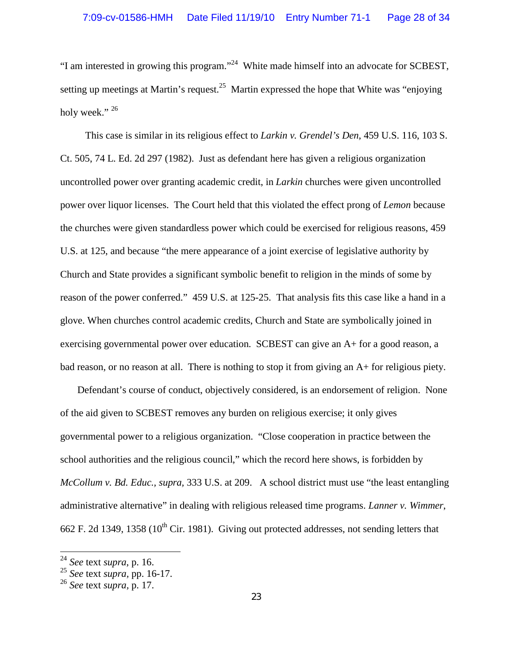"I am interested in growing this program."<sup>24</sup> White made himself into an advocate for SCBEST, setting up meetings at Martin's request.<sup>25</sup> Martin expressed the hope that White was "enjoying" holy week." $^{26}$ 

This case is similar in its religious effect to *Larkin v. Grendel's Den*, 459 U.S. 116, 103 S. Ct. 505, 74 L. Ed. 2d 297 (1982). Just as defendant here has given a religious organization uncontrolled power over granting academic credit, in *Larkin* churches were given uncontrolled power over liquor licenses. The Court held that this violated the effect prong of *Lemon* because the churches were given standardless power which could be exercised for religious reasons, 459 U.S. at 125, and because "the mere appearance of a joint exercise of legislative authority by Church and State provides a significant symbolic benefit to religion in the minds of some by reason of the power conferred." 459 U.S. at 125-25. That analysis fits this case like a hand in a glove. When churches control academic credits, Church and State are symbolically joined in exercising governmental power over education. SCBEST can give an A+ for a good reason, a bad reason, or no reason at all. There is nothing to stop it from giving an A+ for religious piety.

Defendant's course of conduct, objectively considered, is an endorsement of religion. None of the aid given to SCBEST removes any burden on religious exercise; it only gives governmental power to a religious organization. "Close cooperation in practice between the school authorities and the religious council," which the record here shows, is forbidden by *McCollum v. Bd. Educ., supra,* 333 U.S. at 209. A school district must use "the least entangling administrative alternative" in dealing with religious released time programs. *Lanner v. Wimmer*, 662 F. 2d 1349, 1358 ( $10^{th}$  Cir. 1981). Giving out protected addresses, not sending letters that

<sup>24</sup> *See* text *supra*, p. 16.

<sup>25</sup> *See* text *supra,* pp. 16-17.

<sup>26</sup> *See* text *supra,* p. 17.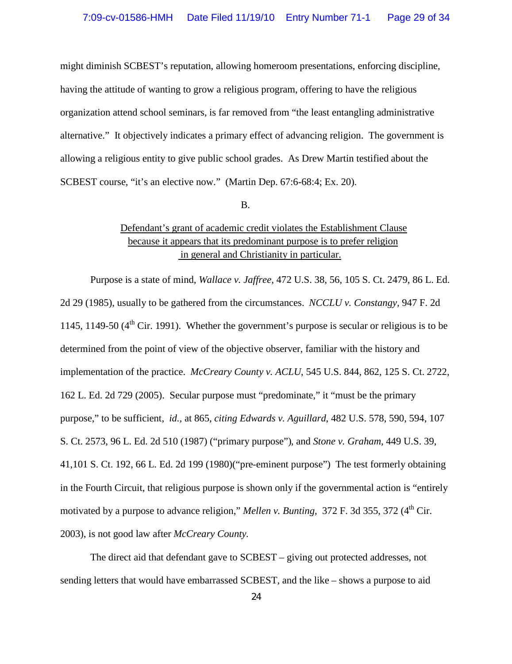might diminish SCBEST's reputation, allowing homeroom presentations, enforcing discipline, having the attitude of wanting to grow a religious program, offering to have the religious organization attend school seminars, is far removed from "the least entangling administrative alternative." It objectively indicates a primary effect of advancing religion. The government is allowing a religious entity to give public school grades. As Drew Martin testified about the SCBEST course, "it's an elective now." (Martin Dep. 67:6-68:4; Ex. 20).

#### B.

## Defendant's grant of academic credit violates the Establishment Clause because it appears that its predominant purpose is to prefer religion in general and Christianity in particular.

Purpose is a state of mind, *Wallace v. Jaffree,* 472 U.S. 38, 56, 105 S. Ct. 2479, 86 L. Ed. 2d 29 (1985), usually to be gathered from the circumstances. *NCCLU v. Constangy,* 947 F. 2d 1145, 1149-50  $(4<sup>th</sup>$  Cir. 1991). Whether the government's purpose is secular or religious is to be determined from the point of view of the objective observer, familiar with the history and implementation of the practice. *McCreary County v. ACLU*, 545 U.S. 844, 862, 125 S. Ct. 2722, 162 L. Ed. 2d 729 (2005). Secular purpose must "predominate," it "must be the primary purpose," to be sufficient, *id.,* at 865, *citing Edwards v. Aguillard*, 482 U.S. 578, 590, 594, 107 S. Ct. 2573, 96 L. Ed. 2d 510 (1987) ("primary purpose"), and *Stone v. Graham,* 449 U.S. 39, 41,101 S. Ct. 192, 66 L. Ed. 2d 199 (1980)("pre-eminent purpose") The test formerly obtaining in the Fourth Circuit, that religious purpose is shown only if the governmental action is "entirely motivated by a purpose to advance religion," *Mellen v. Bunting*, 372 F. 3d 355, 372 (4<sup>th</sup> Cir. 2003), is not good law after *McCreary County.*

The direct aid that defendant gave to SCBEST – giving out protected addresses, not sending letters that would have embarrassed SCBEST, and the like – shows a purpose to aid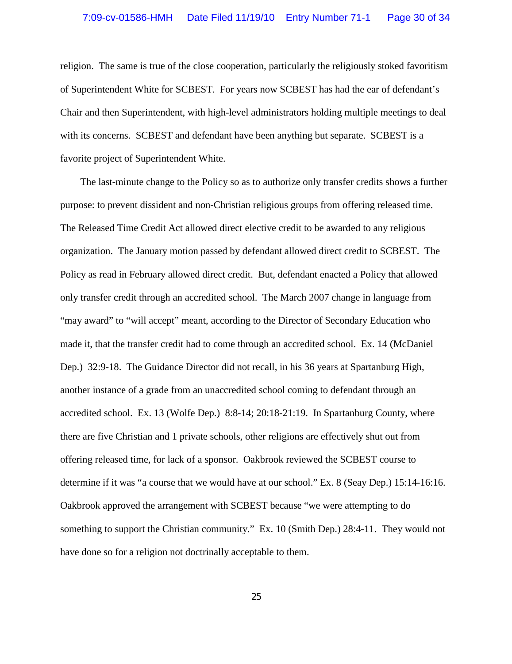religion. The same is true of the close cooperation, particularly the religiously stoked favoritism of Superintendent White for SCBEST. For years now SCBEST has had the ear of defendant's Chair and then Superintendent, with high-level administrators holding multiple meetings to deal with its concerns. SCBEST and defendant have been anything but separate. SCBEST is a favorite project of Superintendent White.

The last-minute change to the Policy so as to authorize only transfer credits shows a further purpose: to prevent dissident and non-Christian religious groups from offering released time. The Released Time Credit Act allowed direct elective credit to be awarded to any religious organization. The January motion passed by defendant allowed direct credit to SCBEST. The Policy as read in February allowed direct credit. But, defendant enacted a Policy that allowed only transfer credit through an accredited school. The March 2007 change in language from "may award" to "will accept" meant, according to the Director of Secondary Education who made it, that the transfer credit had to come through an accredited school. Ex. 14 (McDaniel Dep.) 32:9-18. The Guidance Director did not recall, in his 36 years at Spartanburg High, another instance of a grade from an unaccredited school coming to defendant through an accredited school. Ex. 13 (Wolfe Dep.) 8:8-14; 20:18-21:19. In Spartanburg County, where there are five Christian and 1 private schools, other religions are effectively shut out from offering released time, for lack of a sponsor. Oakbrook reviewed the SCBEST course to determine if it was "a course that we would have at our school." Ex. 8 (Seay Dep.) 15:14-16:16. Oakbrook approved the arrangement with SCBEST because "we were attempting to do something to support the Christian community." Ex. 10 (Smith Dep.) 28:4-11. They would not have done so for a religion not doctrinally acceptable to them.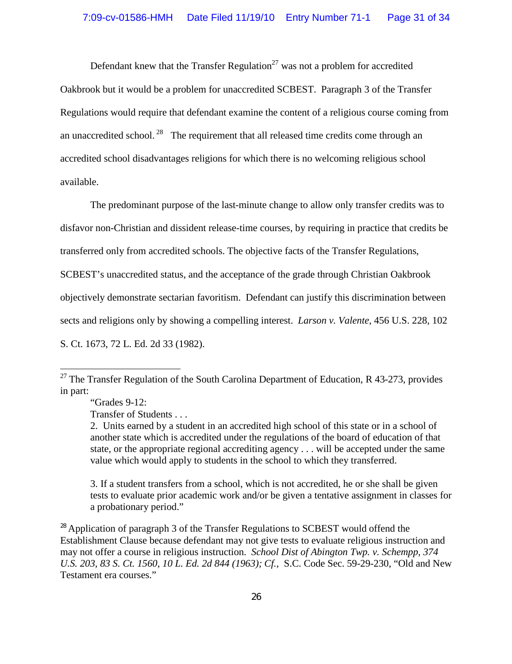Defendant knew that the Transfer Regulation<sup>27</sup> was not a problem for accredited Oakbrook but it would be a problem for unaccredited SCBEST. Paragraph 3 of the Transfer Regulations would require that defendant examine the content of a religious course coming from an unaccredited school.  $^{28}$  The requirement that all released time credits come through an accredited school disadvantages religions for which there is no welcoming religious school available.

The predominant purpose of the last-minute change to allow only transfer credits was to disfavor non-Christian and dissident release-time courses, by requiring in practice that credits be transferred only from accredited schools. The objective facts of the Transfer Regulations, SCBEST's unaccredited status, and the acceptance of the grade through Christian Oakbrook objectively demonstrate sectarian favoritism. Defendant can justify this discrimination between sects and religions only by showing a compelling interest. *Larson v. Valente,* 456 U.S. 228, 102 S. Ct. 1673, 72 L. Ed. 2d 33 (1982).

3. If a student transfers from a school, which is not accredited, he or she shall be given tests to evaluate prior academic work and/or be given a tentative assignment in classes for a probationary period."

 $^{28}$  Application of paragraph 3 of the Transfer Regulations to SCBEST would offend the Establishment Clause because defendant may not give tests to evaluate religious instruction and may not offer a course in religious instruction. *School Dist of Abington Twp. v. Schempp, 374 U.S. 203, 83 S. Ct. 1560, 10 L. Ed. 2d 844 (1963); Cf.,* S.C. Code Sec. 59-29-230, "Old and New Testament era courses."

<sup>&</sup>lt;sup>27</sup> The Transfer Regulation of the South Carolina Department of Education, R 43-273, provides in part:

<sup>&</sup>quot;Grades 9-12:

Transfer of Students . . .

<sup>2.</sup> Units earned by a student in an accredited high school of this state or in a school of another state which is accredited under the regulations of the board of education of that state, or the appropriate regional accrediting agency . . . will be accepted under the same value which would apply to students in the school to which they transferred.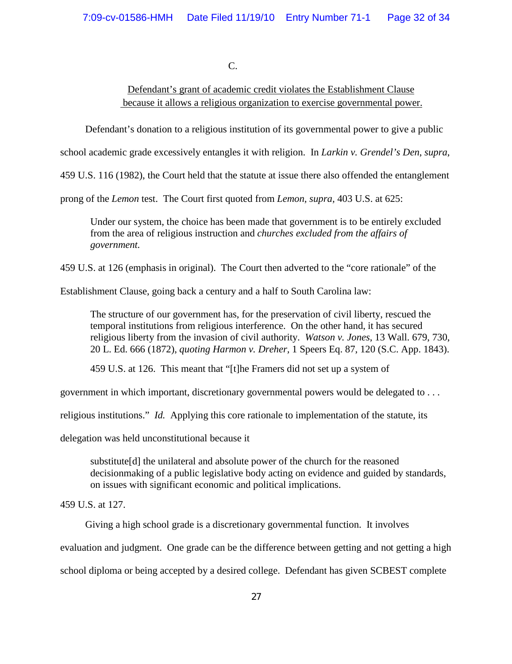C.

Defendant's grant of academic credit violates the Establishment Clause because it allows a religious organization to exercise governmental power.

Defendant's donation to a religious institution of its governmental power to give a public

school academic grade excessively entangles it with religion. In *Larkin v. Grendel's Den*, *supra*,

459 U.S. 116 (1982), the Court held that the statute at issue there also offended the entanglement

prong of the *Lemon* test. The Court first quoted from *Lemon, supra,* 403 U.S. at 625:

Under our system, the choice has been made that government is to be entirely excluded from the area of religious instruction and *churches excluded from the affairs of government.*

459 U.S. at 126 (emphasis in original). The Court then adverted to the "core rationale" of the

Establishment Clause, going back a century and a half to South Carolina law:

The structure of our government has, for the preservation of civil liberty, rescued the temporal institutions from religious interference. On the other hand, it has secured religious liberty from the invasion of civil authority. *Watson v. Jones*, 13 Wall. 679, 730, 20 L. Ed. 666 (1872), *quoting Harmon v. Dreher,* 1 Speers Eq. 87, 120 (S.C. App. 1843).

459 U.S. at 126. This meant that "[t]he Framers did not set up a system of

government in which important, discretionary governmental powers would be delegated to . . .

religious institutions." *Id.* Applying this core rationale to implementation of the statute, its

delegation was held unconstitutional because it

substitute[d] the unilateral and absolute power of the church for the reasoned decisionmaking of a public legislative body acting on evidence and guided by standards, on issues with significant economic and political implications.

459 U.S. at 127.

Giving a high school grade is a discretionary governmental function. It involves

evaluation and judgment. One grade can be the difference between getting and not getting a high

school diploma or being accepted by a desired college. Defendant has given SCBEST complete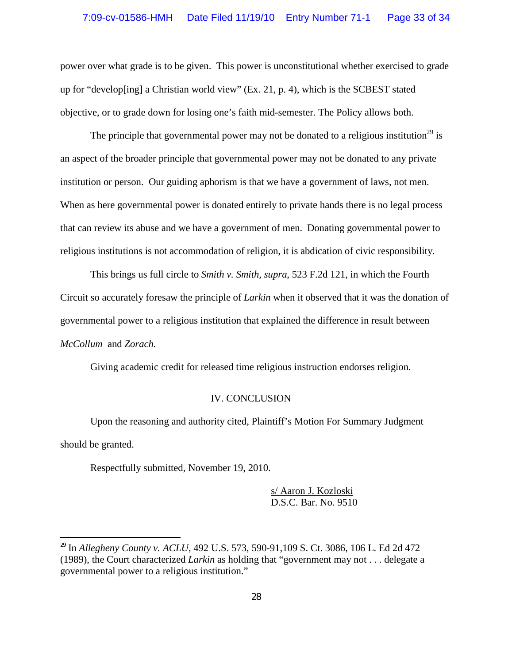power over what grade is to be given. This power is unconstitutional whether exercised to grade up for "develop[ing] a Christian world view" (Ex. 21, p. 4), which is the SCBEST stated objective, or to grade down for losing one's faith mid-semester. The Policy allows both.

The principle that governmental power may not be donated to a religious institution<sup>29</sup> is an aspect of the broader principle that governmental power may not be donated to any private institution or person. Our guiding aphorism is that we have a government of laws, not men. When as here governmental power is donated entirely to private hands there is no legal process that can review its abuse and we have a government of men. Donating governmental power to religious institutions is not accommodation of religion, it is abdication of civic responsibility.

This brings us full circle to *Smith v. Smith, supra*, 523 F.2d 121, in which the Fourth Circuit so accurately foresaw the principle of *Larkin* when it observed that it was the donation of governmental power to a religious institution that explained the difference in result between *McCollum* and *Zorach.*

Giving academic credit for released time religious instruction endorses religion.

### IV. CONCLUSION

Upon the reasoning and authority cited, Plaintiff's Motion For Summary Judgment should be granted.

Respectfully submitted, November 19, 2010.

s/ Aaron J. Kozloski D.S.C. Bar. No. 9510

<sup>29</sup> In *Allegheny County v. ACLU,* 492 U.S. 573, 590-91,109 S. Ct. 3086, 106 L. Ed 2d 472 (1989), the Court characterized *Larkin* as holding that "government may not . . . delegate a governmental power to a religious institution."